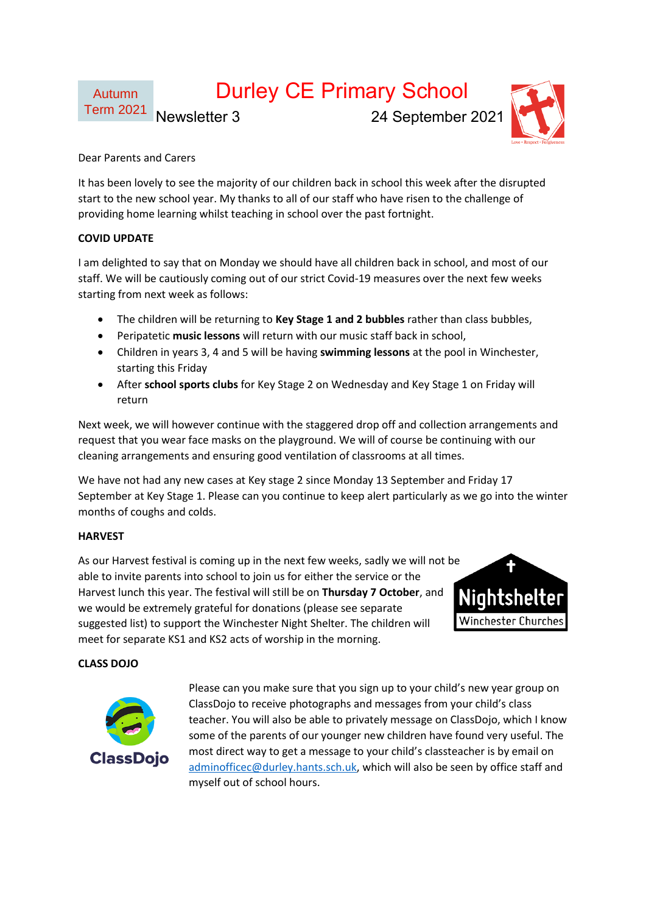# Durley CE Primary School

Term 2021

Newsletter 3 24 September 2021



Dear Parents and Carers

It has been lovely to see the majority of our children back in school this week after the disrupted start to the new school year. My thanks to all of our staff who have risen to the challenge of providing home learning whilst teaching in school over the past fortnight.

## **COVID UPDATE**

Autumn

I am delighted to say that on Monday we should have all children back in school, and most of our staff. We will be cautiously coming out of our strict Covid-19 measures over the next few weeks starting from next week as follows:

- The children will be returning to **Key Stage 1 and 2 bubbles** rather than class bubbles,
- Peripatetic **music lessons** will return with our music staff back in school,
- Children in years 3, 4 and 5 will be having **swimming lessons** at the pool in Winchester, starting this Friday
- After **school sports clubs** for Key Stage 2 on Wednesday and Key Stage 1 on Friday will return

Next week, we will however continue with the staggered drop off and collection arrangements and request that you wear face masks on the playground. We will of course be continuing with our cleaning arrangements and ensuring good ventilation of classrooms at all times.

We have not had any new cases at Key stage 2 since Monday 13 September and Friday 17 September at Key Stage 1. Please can you continue to keep alert particularly as we go into the winter months of coughs and colds.

## **HARVEST**

As our Harvest festival is coming up in the next few weeks, sadly we will not be able to invite parents into school to join us for either the service or the Harvest lunch this year. The festival will still be on **Thursday 7 October**, and we would be extremely grateful for donations (please see separate suggested list) to support the Winchester Night Shelter. The children will meet for separate KS1 and KS2 acts of worship in the morning.



## **CLASS DOJO**



Please can you make sure that you sign up to your child's new year group on ClassDojo to receive photographs and messages from your child's class teacher. You will also be able to privately message on ClassDojo, which I know some of the parents of our younger new children have found very useful. The most direct way to get a message to your child's classteacher is by email on [adminofficec@durley.hants.sch.uk,](mailto:adminofficec@durley.hants.sch.uk) which will also be seen by office staff and myself out of school hours.